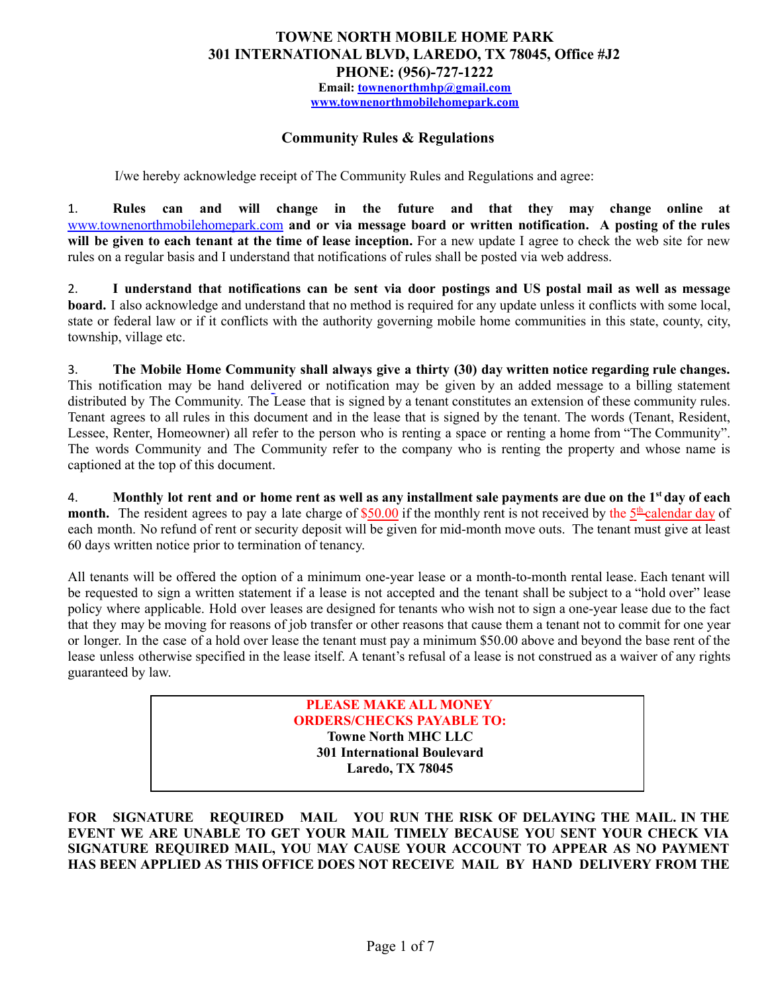# **TOWNE NORTH MOBILE HOME PARK 301 INTERNATIONAL BLVD, LAREDO, TX 78045, Office #J2 PHONE: (956)-727-1222 Email: [townenorthmhp@gmail.com](mailto:townenorthmhp@gmail.com)**

**[www.townenorthmobilehomepark.com](http://www.townenorthmobilehomepark.com)**

### **Community Rules & Regulations**

I/we hereby acknowledge receipt of The Community Rules and Regulations and agree:

1. **Rules can and will change in the future and that they may change online at** [www.townenorthmobilehomepark.com](http://www.townenorthmobilehomepark.com) **and or via message board or written notification. A posting of the rules will be given to each tenant at the time of lease inception.** For a new update I agree to check the web site for new rules on a regular basis and I understand that notifications of rules shall be posted via web address.

2. I understand that notifications can be sent via door postings and US postal mail as well as message **board.** I also acknowledge and understand that no method is required for any update unless it conflicts with some local, state or federal law or if it conflicts with the authority governing mobile home communities in this state, county, city, township, village etc.

3. **The Mobile Home Community shall always give a thirty (30) day written notice regarding rule changes.** This notification may be hand delivered or notification may be given by an added message to a billing statement distributed by The Community. The Lease that is signed by a tenant constitutes an extension of these community rules. Tenant agrees to all rules in this document and in the lease that is signed by the tenant. The words (Tenant, Resident, Lessee, Renter, Homeowner) all refer to the person who is renting a space or renting a home from "The Community". The words Community and The Community refer to the company who is renting the property and whose name is captioned at the top of this document.

4. Monthly lot rent and or home rent as well as any installment sale payments are due on the 1st day of each month. The resident agrees to pay a late charge of \$50.00 if the monthly rent is not received by the 5<sup>th</sup> calendar day of each month. No refund of rent or security deposit will be given for mid-month move outs. The tenant must give at least 60 days written notice prior to termination of tenancy.

All tenants will be offered the option of a minimum one-year lease or a month-to-month rental lease. Each tenant will be requested to sign a written statement if a lease is not accepted and the tenant shall be subject to a "hold over" lease policy where applicable. Hold over leases are designed for tenants who wish not to sign a one-year lease due to the fact that they may be moving for reasons of job transfer or other reasons that cause them a tenant not to commit for one year or longer. In the case of a hold over lease the tenant must pay a minimum \$50.00 above and beyond the base rent of the lease unless otherwise specified in the lease itself. A tenant's refusal of a lease is not construed as a waiver of any rights guaranteed by law.

> **PLEASE MAKE ALL MONEY ORDERS/CHECKS PAYABLE TO: Towne North MHC LLC 301 International Boulevard Laredo, TX 78045**

**FOR SIGNATURE REQUIRED MAIL YOU RUN THE RISK OF DELAYING THE MAIL. IN THE EVENT WE ARE UNABLE TO GET YOUR MAIL TIMELY BECAUSE YOU SENT YOUR CHECK VIA SIGNATURE REQUIRED MAIL, YOU MAY CAUSE YOUR ACCOUNT TO APPEAR AS NO PAYMENT HAS BEEN APPLIED AS THIS OFFICE DOES NOT RECEIVE MAIL BY HAND DELIVERY FROM THE**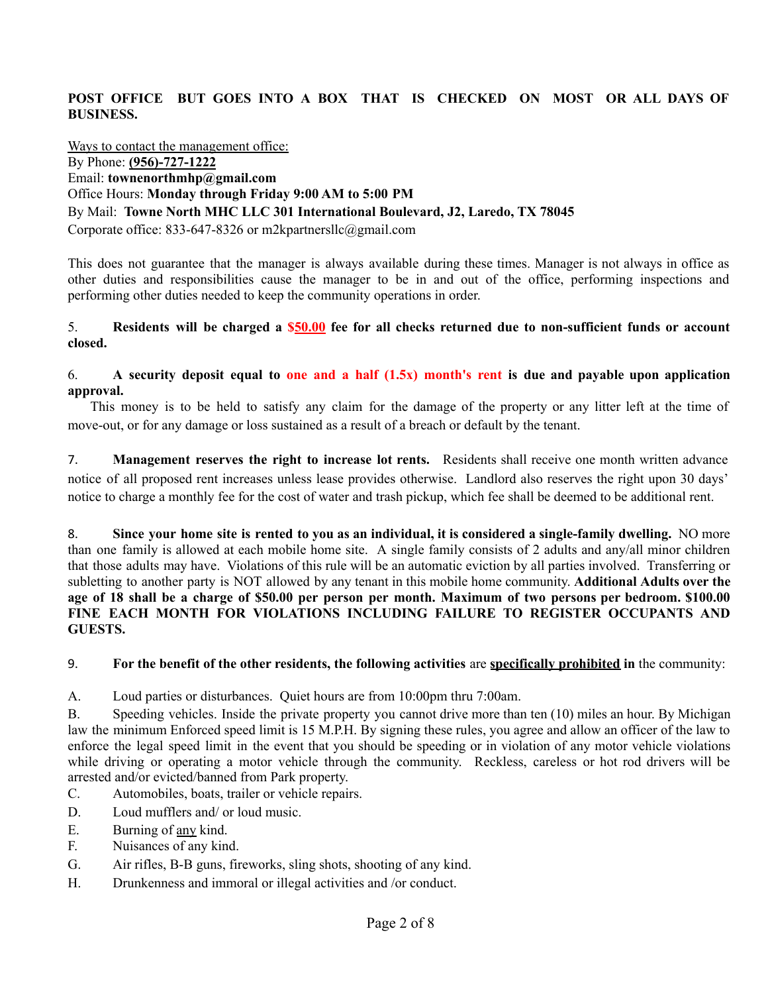### **POST OFFICE BUT GOES INTO A BOX THAT IS CHECKED ON MOST OR ALL DAYS OF BUSINESS.**

#### Ways to contact the management office:

By Phone: **(956)-727-1222** Email: **townenorthmhp@gmail.com** Office Hours: **Monday through Friday 9:00 AM to 5:00 PM** By Mail: **Towne North MHC LLC 301 International Boulevard, J2, Laredo, TX 78045** Corporate office: 833-647-8326 or m2kpartnersllc@gmail.com

This does not guarantee that the manager is always available during these times. Manager is not always in office as other duties and responsibilities cause the manager to be in and out of the office, performing inspections and performing other duties needed to keep the community operations in order.

#### 5. **Residents will be charged a \$50.00 fee for all checks returned due to non-sufficient funds or account closed.**

#### 6. A security deposit equal to one and a half  $(1.5x)$  month's rent is due and payable upon application **approval.**

This money is to be held to satisfy any claim for the damage of the property or any litter left at the time of move-out, or for any damage or loss sustained as a result of a breach or default by the tenant.

7. **Management reserves the right to increase lot rents.** Residents shall receive one month written advance notice of all proposed rent increases unless lease provides otherwise. Landlord also reserves the right upon 30 days' notice to charge a monthly fee for the cost of water and trash pickup, which fee shall be deemed to be additional rent.

8. Since your home site is rented to you as an individual, it is considered a single-family dwelling. NO more than one family is allowed at each mobile home site. A single family consists of 2 adults and any/all minor children that those adults may have. Violations of this rule will be an automatic eviction by all parties involved. Transferring or subletting to another party is NOT allowed by any tenant in this mobile home community. **Additional Adults over the** age of 18 shall be a charge of \$50.00 per person per month. Maximum of two persons per bedroom. \$100.00 **FINE EACH MONTH FOR VIOLATIONS INCLUDING FAILURE TO REGISTER OCCUPANTS AND GUESTS.**

### 9. **For the benefit of the other residents, the following activities** are **specifically prohibited in** the community:

A. Loud parties or disturbances. Quiet hours are from 10:00pm thru 7:00am.

B. Speeding vehicles. Inside the private property you cannot drive more than ten (10) miles an hour. By Michigan law the minimum Enforced speed limit is 15 M.P.H. By signing these rules, you agree and allow an officer of the law to enforce the legal speed limit in the event that you should be speeding or in violation of any motor vehicle violations while driving or operating a motor vehicle through the community. Reckless, careless or hot rod drivers will be arrested and/or evicted/banned from Park property.

- C. Automobiles, boats, trailer or vehicle repairs.
- D. Loud mufflers and/ or loud music.
- E. Burning of any kind.
- F. Nuisances of any kind.
- G. Air rifles, B-B guns, fireworks, sling shots, shooting of any kind.
- H. Drunkenness and immoral or illegal activities and /or conduct.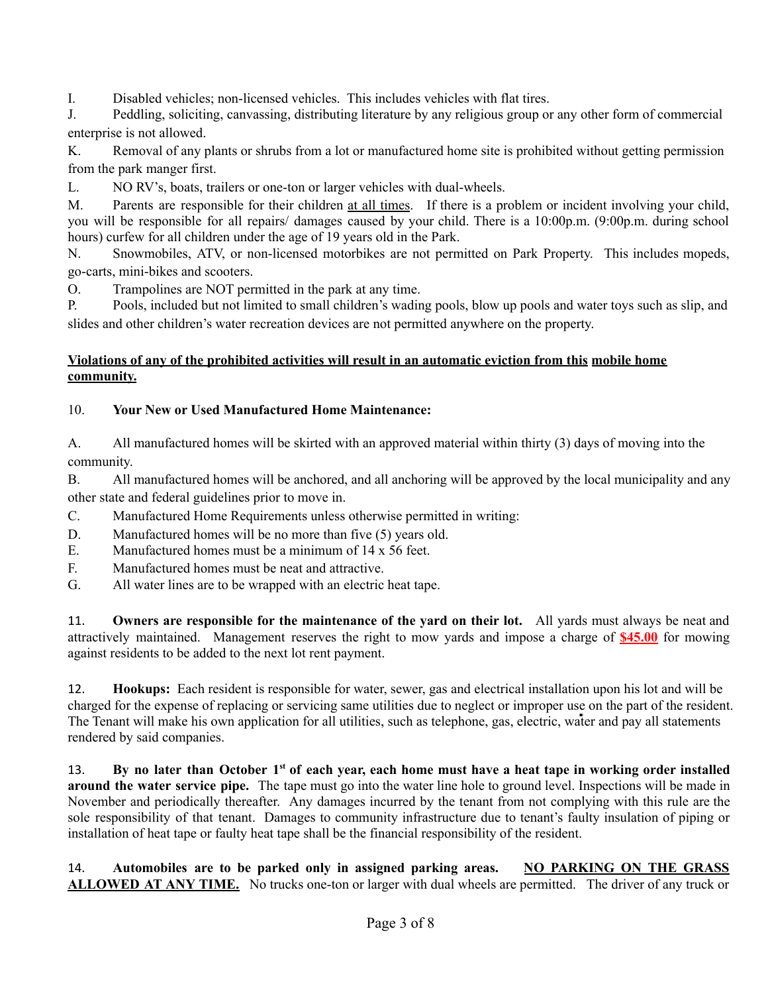I. Disabled vehicles; non-licensed vehicles. This includes vehicles with flat tires.

J. Peddling, soliciting, canvassing, distributing literature by any religious group or any other form of commercial enterprise is not allowed.

K. Removal of any plants or shrubs from a lot or manufactured home site is prohibited without getting permission from the park manger first.

L. NO RV's, boats, trailers or one-ton or larger vehicles with dual-wheels.

M. Parents are responsible for their children at all times. If there is a problem or incident involving your child, you will be responsible for all repairs/ damages caused by your child. There is a 10:00p.m. (9:00p.m. during school hours) curfew for all children under the age of 19 years old in the Park.

N. Snowmobiles, ATV, or non-licensed motorbikes are not permitted on Park Property. This includes mopeds, go-carts, mini-bikes and scooters.

O. Trampolines are NOT permitted in the park at any time.

P. Pools, included but not limited to small children's wading pools, blow up pools and water toys such as slip, and slides and other children's water recreation devices are not permitted anywhere on the property.

### **Violations of any of the prohibited activities will result in an automatic eviction from this mobile home community.**

# 10. **Your New or Used Manufactured Home Maintenance:**

A. All manufactured homes will be skirted with an approved material within thirty (3) days of moving into the community.

B. All manufactured homes will be anchored, and all anchoring will be approved by the local municipality and any other state and federal guidelines prior to move in.

- C. Manufactured Home Requirements unless otherwise permitted in writing:
- D. Manufactured homes will be no more than five (5) years old.
- E. Manufactured homes must be a minimum of  $14 \times 56$  feet.
- F. Manufactured homes must be neat and attractive.
- G. All water lines are to be wrapped with an electric heat tape.

11. **Owners are responsible for the maintenance of the yard on their lot.** All yards must always be neat and attractively maintained. Management reserves the right to mow yards and impose a charge of **\$45.00** for mowing against residents to be added to the next lot rent payment.

12. **Hookups:** Each resident is responsible for water, sewer, gas and electrical installation upon his lot and will be charged for the expense of replacing or servicing same utilities due to neglect or improper use on the part of the resident. The Tenant will make his own application for all utilities, such as telephone, gas, electric, water and pay all statements rendered by said companies.

13. By no later than October 1st of each year, each home must have a heat tape in working order installed **around the water service pipe.** The tape must go into the water line hole to ground level. Inspections will be made in November and periodically thereafter. Any damages incurred by the tenant from not complying with this rule are the sole responsibility of that tenant. Damages to community infrastructure due to tenant's faulty insulation of piping or installation of heat tape or faulty heat tape shall be the financial responsibility of the resident.

14. **Automobiles are to be parked only in assigned parking areas. NO PARKING ON THE GRASS ALLOWED AT ANY TIME.** No trucks one-ton or larger with dual wheels are permitted. The driver of any truck or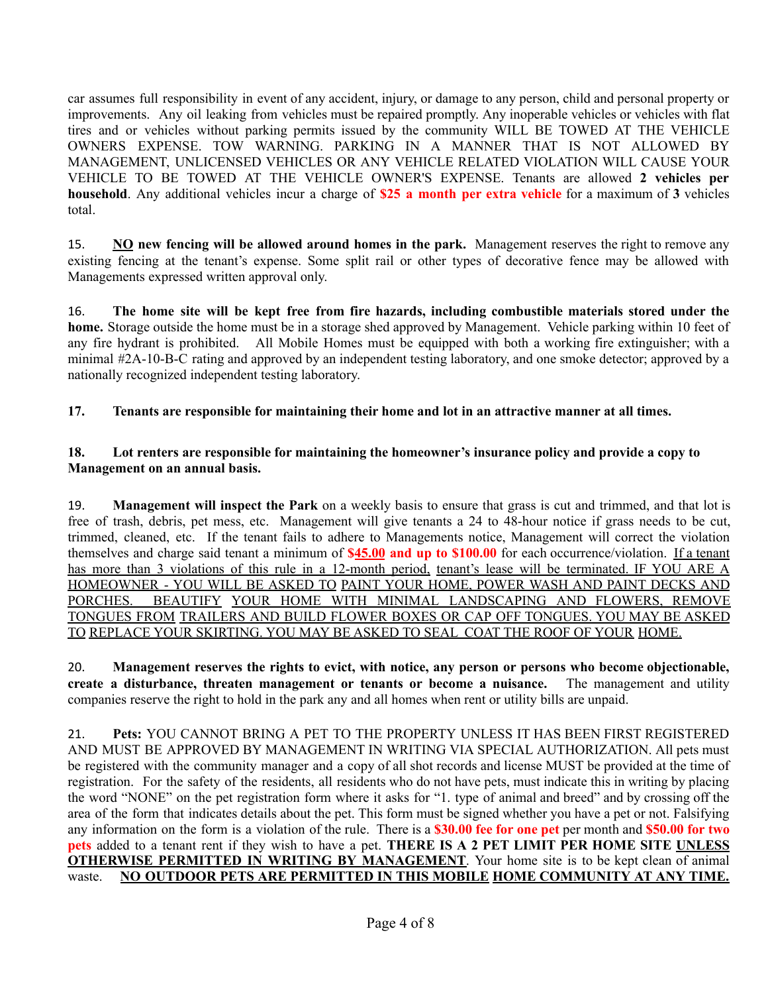car assumes full responsibility in event of any accident, injury, or damage to any person, child and personal property or improvements. Any oil leaking from vehicles must be repaired promptly. Any inoperable vehicles or vehicles with flat tires and or vehicles without parking permits issued by the community WILL BE TOWED AT THE VEHICLE OWNERS EXPENSE. TOW WARNING. PARKING IN A MANNER THAT IS NOT ALLOWED BY MANAGEMENT, UNLICENSED VEHICLES OR ANY VEHICLE RELATED VIOLATION WILL CAUSE YOUR VEHICLE TO BE TOWED AT THE VEHICLE OWNER'S EXPENSE. Tenants are allowed **2 vehicles per household**. Any additional vehicles incur a charge of **\$25 a month per extra vehicle** for a maximum of **3** vehicles total.

15. **NO new fencing will be allowed around homes in the park.** Management reserves the right to remove any existing fencing at the tenant's expense. Some split rail or other types of decorative fence may be allowed with Managements expressed written approval only.

16. **The home site will be kept free from fire hazards, including combustible materials stored under the home.** Storage outside the home must be in a storage shed approved by Management. Vehicle parking within 10 feet of any fire hydrant is prohibited. All Mobile Homes must be equipped with both a working fire extinguisher; with a minimal #2A-10-B-C rating and approved by an independent testing laboratory, and one smoke detector; approved by a nationally recognized independent testing laboratory.

### **17. Tenants are responsible for maintaining their home and lot in an attractive manner at all times.**

### **18. Lot renters are responsible for maintaining the homeowner's insurance policy and provide a copy to Management on an annual basis.**

19. **Management will inspect the Park** on a weekly basis to ensure that grass is cut and trimmed, and that lot is free of trash, debris, pet mess, etc. Management will give tenants a 24 to 48-hour notice if grass needs to be cut, trimmed, cleaned, etc. If the tenant fails to adhere to Managements notice, Management will correct the violation themselves and charge said tenant a minimum of **\$45.00 and up to \$100.00** for each occurrence/violation. If a tenant has more than 3 violations of this rule in a 12-month period, tenant's lease will be terminated. IF YOU ARE A HOMEOWNER - YOU WILL BE ASKED TO PAINT YOUR HOME, POWER WASH AND PAINT DECKS AND PORCHES. BEAUTIFY YOUR HOME WITH MINIMAL LANDSCAPING AND FLOWERS, REMOVE TONGUES FROM TRAILERS AND BUILD FLOWER BOXES OR CAP OFF TONGUES. YOU MAY BE ASKED TO REPLACE YOUR SKIRTING. YOU MAY BE ASKED TO SEAL COAT THE ROOF OF YOUR HOME.

20. **Management reserves the rights to evict, with notice, any person or persons who become objectionable, create a disturbance, threaten management or tenants or become a nuisance.** The management and utility companies reserve the right to hold in the park any and all homes when rent or utility bills are unpaid.

21. **Pets:** YOU CANNOT BRING A PET TO THE PROPERTY UNLESS IT HAS BEEN FIRST REGISTERED AND MUST BE APPROVED BY MANAGEMENT IN WRITING VIA SPECIAL AUTHORIZATION. All pets must be registered with the community manager and a copy of all shot records and license MUST be provided at the time of registration. For the safety of the residents, all residents who do not have pets, must indicate this in writing by placing the word "NONE" on the pet registration form where it asks for "1. type of animal and breed" and by crossing off the area of the form that indicates details about the pet. This form must be signed whether you have a pet or not. Falsifying any information on the form is a violation of the rule. There is a **\$30.00 fee for one pet** per month and **\$50.00 for two pets** added to a tenant rent if they wish to have a pet. **THERE IS A 2 PET LIMIT PER HOME SITE UNLESS OTHERWISE PERMITTED IN WRITING BY MANAGEMENT**. Your home site is to be kept clean of animal waste. **NO OUTDOOR PETS ARE PERMITTED IN THIS MOBILE HOME COMMUNITY AT ANY TIME.**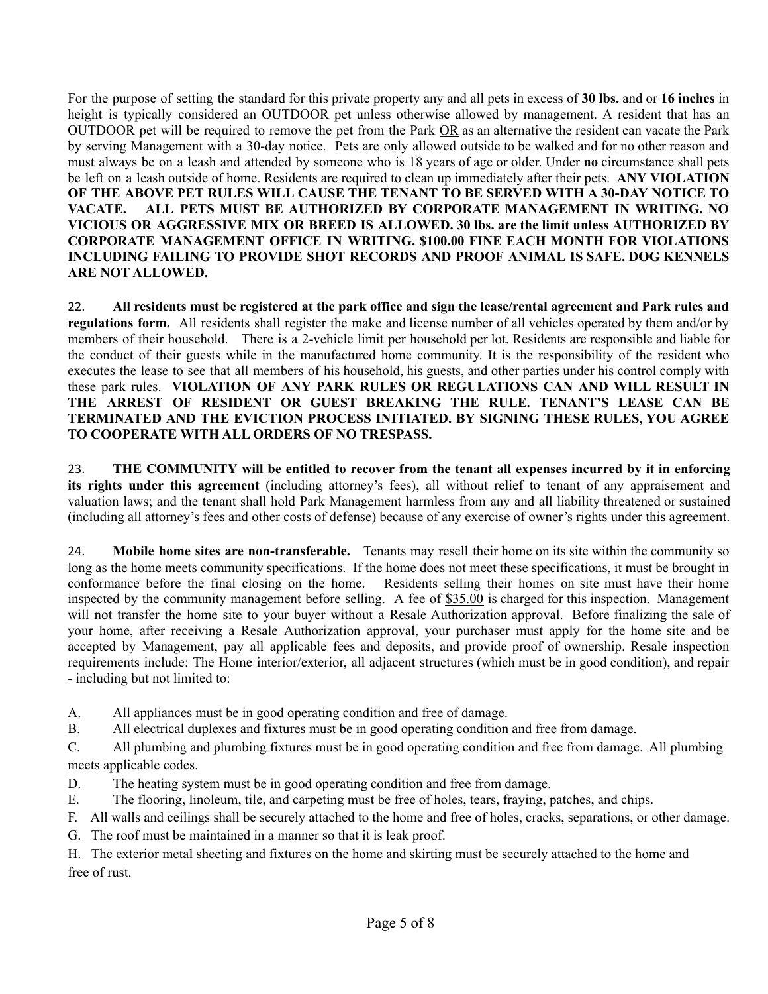For the purpose of setting the standard for this private property any and all pets in excess of **30 lbs.** and or **16 inches** in height is typically considered an OUTDOOR pet unless otherwise allowed by management. A resident that has an OUTDOOR pet will be required to remove the pet from the Park OR as an alternative the resident can vacate the Park by serving Management with a 30-day notice. Pets are only allowed outside to be walked and for no other reason and must always be on a leash and attended by someone who is 18 years of age or older. Under **no** circumstance shall pets be left on a leash outside of home. Residents are required to clean up immediately after their pets. **ANY VIOLATION OF THE ABOVE PET RULES WILL CAUSE THE TENANT TO BE SERVED WITH A 30-DAY NOTICE TO VACATE. ALL PETS MUST BE AUTHORIZED BY CORPORATE MANAGEMENT IN WRITING. NO VICIOUS OR AGGRESSIVE MIX OR BREED IS ALLOWED. 30 lbs. are the limit unless AUTHORIZED BY CORPORATE MANAGEMENT OFFICE IN WRITING. \$100.00 FINE EACH MONTH FOR VIOLATIONS INCLUDING FAILING TO PROVIDE SHOT RECORDS AND PROOF ANIMAL IS SAFE. DOG KENNELS ARE NOT ALLOWED.**

22. All residents must be registered at the park office and sign the lease/rental agreement and Park rules and **regulations form.** All residents shall register the make and license number of all vehicles operated by them and/or by members of their household. There is a 2-vehicle limit per household per lot. Residents are responsible and liable for the conduct of their guests while in the manufactured home community. It is the responsibility of the resident who executes the lease to see that all members of his household, his guests, and other parties under his control comply with these park rules. **VIOLATION OF ANY PARK RULES OR REGULATIONS CAN AND WILL RESULT IN THE ARREST OF RESIDENT OR GUEST BREAKING THE RULE. TENANT'S LEASE CAN BE TERMINATED AND THE EVICTION PROCESS INITIATED. BY SIGNING THESE RULES, YOU AGREE TO COOPERATE WITH ALL ORDERS OF NO TRESPASS.**

23. **THE COMMUNITY will be entitled to recover from the tenant all expenses incurred by it in enforcing its rights under this agreement** (including attorney's fees), all without relief to tenant of any appraisement and valuation laws; and the tenant shall hold Park Management harmless from any and all liability threatened or sustained (including all attorney's fees and other costs of defense) because of any exercise of owner's rights under this agreement.

24. **Mobile home sites are non-transferable.** Tenants may resell their home on its site within the community so long as the home meets community specifications. If the home does not meet these specifications, it must be brought in conformance before the final closing on the home. Residents selling their homes on site must have their home inspected by the community management before selling. A fee of \$35.00 is charged for this inspection. Management will not transfer the home site to your buyer without a Resale Authorization approval. Before finalizing the sale of your home, after receiving a Resale Authorization approval, your purchaser must apply for the home site and be accepted by Management, pay all applicable fees and deposits, and provide proof of ownership. Resale inspection requirements include: The Home interior/exterior, all adjacent structures (which must be in good condition), and repair - including but not limited to:

- A. All appliances must be in good operating condition and free of damage.
- B. All electrical duplexes and fixtures must be in good operating condition and free from damage.

C. All plumbing and plumbing fixtures must be in good operating condition and free from damage. All plumbing meets applicable codes.

- D. The heating system must be in good operating condition and free from damage.
- E. The flooring, linoleum, tile, and carpeting must be free of holes, tears, fraying, patches, and chips.
- F. All walls and ceilings shall be securely attached to the home and free of holes, cracks, separations, or other damage.
- G. The roof must be maintained in a manner so that it is leak proof.

H. The exterior metal sheeting and fixtures on the home and skirting must be securely attached to the home and free of rust.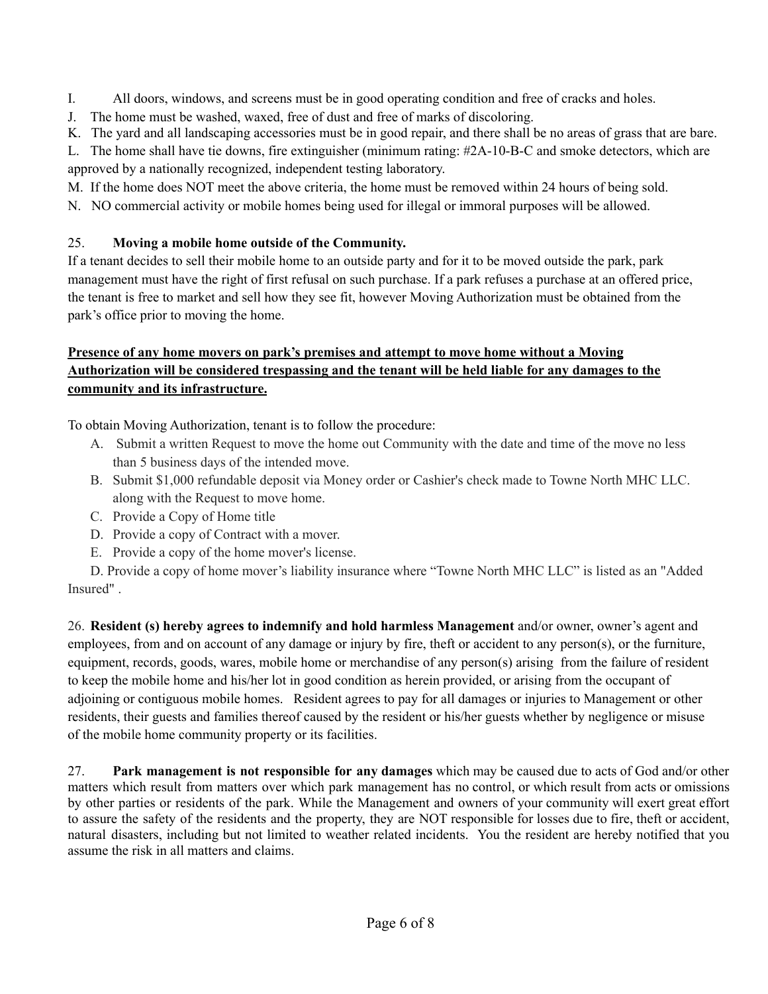I. All doors, windows, and screens must be in good operating condition and free of cracks and holes.

J. The home must be washed, waxed, free of dust and free of marks of discoloring.

K. The yard and all landscaping accessories must be in good repair, and there shall be no areas of grass that are bare.

L. The home shall have tie downs, fire extinguisher (minimum rating: #2A-10-B-C and smoke detectors, which are approved by a nationally recognized, independent testing laboratory.

- M. If the home does NOT meet the above criteria, the home must be removed within 24 hours of being sold.
- N. NO commercial activity or mobile homes being used for illegal or immoral purposes will be allowed.

### 25. **Moving a mobile home outside of the Community.**

If a tenant decides to sell their mobile home to an outside party and for it to be moved outside the park, park management must have the right of first refusal on such purchase. If a park refuses a purchase at an offered price, the tenant is free to market and sell how they see fit, however Moving Authorization must be obtained from the park's office prior to moving the home.

# **Presence of any home movers on park's premises and attempt to move home without a Moving Authorization will be considered trespassing and the tenant will be held liable for any damages to the community and its infrastructure.**

To obtain Moving Authorization, tenant is to follow the procedure:

- A. Submit a written Request to move the home out Community with the date and time of the move no less than 5 business days of the intended move.
- B. Submit \$1,000 refundable deposit via Money order or Cashier's check made to Towne North MHC LLC. along with the Request to move home.
- C. Provide a Copy of Home title
- D. Provide a copy of Contract with a mover.
- E. Provide a copy of the home mover's license.

D. Provide a copy of home mover's liability insurance where "Towne North MHC LLC" is listed as an "Added Insured" .

26. **Resident (s) hereby agrees to indemnify and hold harmless Management** and/or owner, owner's agent and employees, from and on account of any damage or injury by fire, theft or accident to any person(s), or the furniture, equipment, records, goods, wares, mobile home or merchandise of any person(s) arising from the failure of resident to keep the mobile home and his/her lot in good condition as herein provided, or arising from the occupant of adjoining or contiguous mobile homes. Resident agrees to pay for all damages or injuries to Management or other residents, their guests and families thereof caused by the resident or his/her guests whether by negligence or misuse of the mobile home community property or its facilities.

27. **Park management is not responsible for any damages** which may be caused due to acts of God and/or other matters which result from matters over which park management has no control, or which result from acts or omissions by other parties or residents of the park. While the Management and owners of your community will exert great effort to assure the safety of the residents and the property, they are NOT responsible for losses due to fire, theft or accident, natural disasters, including but not limited to weather related incidents. You the resident are hereby notified that you assume the risk in all matters and claims.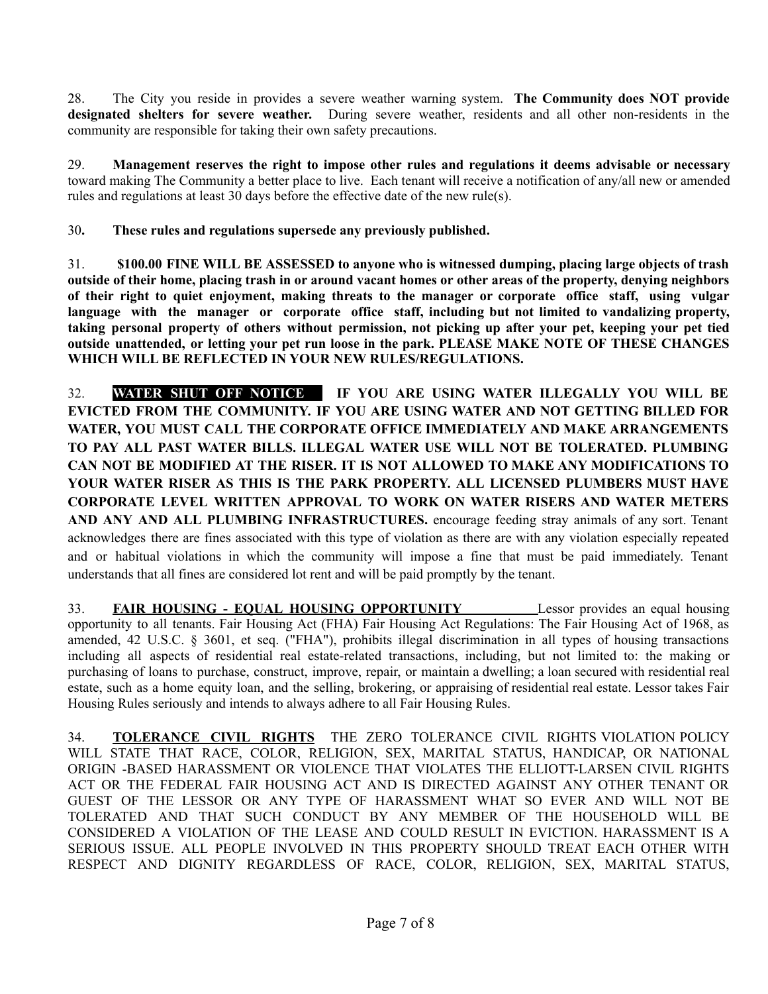28. The City you reside in provides a severe weather warning system. **The Community does NOT provide designated shelters for severe weather.** During severe weather, residents and all other non-residents in the community are responsible for taking their own safety precautions.

29. **Management reserves the right to impose other rules and regulations it deems advisable or necessary** toward making The Community a better place to live. Each tenant will receive a notification of any/all new or amended rules and regulations at least 30 days before the effective date of the new rule(s).

30**. These rules and regulations supersede any previously published.**

31. **\$100.00 FINE WILL BE ASSESSED to anyone who is witnessed dumping, placing large objects of trash** outside of their home, placing trash in or around vacant homes or other areas of the property, denying neighbors **of their right to quiet enjoyment, making threats to the manager or corporate office staff, using vulgar language with the manager or corporate office staff, including but not limited to vandalizing property,** taking personal property of others without permission, not picking up after your pet, keeping your pet tied **outside unattended, or letting your pet run loose in the park. PLEASE MAKE NOTE OF THESE CHANGES WHICH WILL BE REFLECTED IN YOUR NEW RULES/REGULATIONS.**

32. **WATER SHUT OFF NOTICE. IF YOU ARE USING WATER ILLEGALLY YOU WILL BE EVICTED FROM THE COMMUNITY. IF YOU ARE USING WATER AND NOT GETTING BILLED FOR WATER, YOU MUST CALL THE CORPORATE OFFICE IMMEDIATELY AND MAKE ARRANGEMENTS TO PAY ALL PAST WATER BILLS. ILLEGAL WATER USE WILL NOT BE TOLERATED. PLUMBING CAN NOT BE MODIFIED AT THE RISER. IT IS NOT ALLOWED TO MAKE ANY MODIFICATIONS TO YOUR WATER RISER AS THIS IS THE PARK PROPERTY. ALL LICENSED PLUMBERS MUST HAVE CORPORATE LEVEL WRITTEN APPROVAL TO WORK ON WATER RISERS AND WATER METERS AND ANY AND ALL PLUMBING INFRASTRUCTURES.** encourage feeding stray animals of any sort. Tenant acknowledges there are fines associated with this type of violation as there are with any violation especially repeated and or habitual violations in which the community will impose a fine that must be paid immediately. Tenant understands that all fines are considered lot rent and will be paid promptly by the tenant.

33. **FAIR HOUSING - EQUAL HOUSING OPPORTUNITY** Lessor provides an equal housing opportunity to all tenants. Fair Housing Act (FHA) Fair Housing Act Regulations: The Fair Housing Act of 1968, as amended, 42 U.S.C. § 3601, et seq. ("FHA"), prohibits illegal discrimination in all types of housing transactions including all aspects of residential real estate-related transactions, including, but not limited to: the making or purchasing of loans to purchase, construct, improve, repair, or maintain a dwelling; a loan secured with residential real estate, such as a home equity loan, and the selling, brokering, or appraising of residential real estate. Lessor takes Fair Housing Rules seriously and intends to always adhere to all Fair Housing Rules.

34. **TOLERANCE CIVIL RIGHTS** THE ZERO TOLERANCE CIVIL RIGHTS VIOLATION POLICY WILL STATE THAT RACE, COLOR, RELIGION, SEX, MARITAL STATUS, HANDICAP, OR NATIONAL ORIGIN -BASED HARASSMENT OR VIOLENCE THAT VIOLATES THE ELLIOTT-LARSEN CIVIL RIGHTS ACT OR THE FEDERAL FAIR HOUSING ACT AND IS DIRECTED AGAINST ANY OTHER TENANT OR GUEST OF THE LESSOR OR ANY TYPE OF HARASSMENT WHAT SO EVER AND WILL NOT BE TOLERATED AND THAT SUCH CONDUCT BY ANY MEMBER OF THE HOUSEHOLD WILL BE CONSIDERED A VIOLATION OF THE LEASE AND COULD RESULT IN EVICTION. HARASSMENT IS A SERIOUS ISSUE. ALL PEOPLE INVOLVED IN THIS PROPERTY SHOULD TREAT EACH OTHER WITH RESPECT AND DIGNITY REGARDLESS OF RACE, COLOR, RELIGION, SEX, MARITAL STATUS,